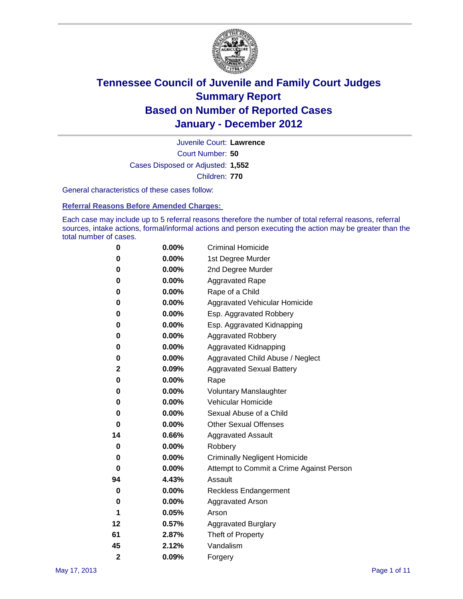

Court Number: **50** Juvenile Court: **Lawrence** Cases Disposed or Adjusted: **1,552** Children: **770**

General characteristics of these cases follow:

**Referral Reasons Before Amended Charges:** 

Each case may include up to 5 referral reasons therefore the number of total referral reasons, referral sources, intake actions, formal/informal actions and person executing the action may be greater than the total number of cases.

| 0              | 0.00%    | <b>Criminal Homicide</b>                 |
|----------------|----------|------------------------------------------|
| 0              | 0.00%    | 1st Degree Murder                        |
| 0              | 0.00%    | 2nd Degree Murder                        |
| 0              | 0.00%    | <b>Aggravated Rape</b>                   |
| 0              | 0.00%    | Rape of a Child                          |
| 0              | 0.00%    | Aggravated Vehicular Homicide            |
| 0              | 0.00%    | Esp. Aggravated Robbery                  |
| 0              | 0.00%    | Esp. Aggravated Kidnapping               |
| 0              | 0.00%    | <b>Aggravated Robbery</b>                |
| 0              | 0.00%    | Aggravated Kidnapping                    |
| 0              | 0.00%    | Aggravated Child Abuse / Neglect         |
| 2              | 0.09%    | <b>Aggravated Sexual Battery</b>         |
| 0              | 0.00%    | Rape                                     |
| 0              | $0.00\%$ | <b>Voluntary Manslaughter</b>            |
| 0              | 0.00%    | Vehicular Homicide                       |
| 0              | 0.00%    | Sexual Abuse of a Child                  |
| 0              | 0.00%    | <b>Other Sexual Offenses</b>             |
| 14             | 0.66%    | <b>Aggravated Assault</b>                |
| 0              | $0.00\%$ | Robbery                                  |
| 0              | 0.00%    | <b>Criminally Negligent Homicide</b>     |
| 0              | 0.00%    | Attempt to Commit a Crime Against Person |
| 94             | 4.43%    | Assault                                  |
| 0              | 0.00%    | <b>Reckless Endangerment</b>             |
| 0              | 0.00%    | <b>Aggravated Arson</b>                  |
| 1              | 0.05%    | Arson                                    |
| 12             | 0.57%    | <b>Aggravated Burglary</b>               |
| 61             | 2.87%    | Theft of Property                        |
| 45             | 2.12%    | Vandalism                                |
| $\overline{2}$ | 0.09%    | Forgery                                  |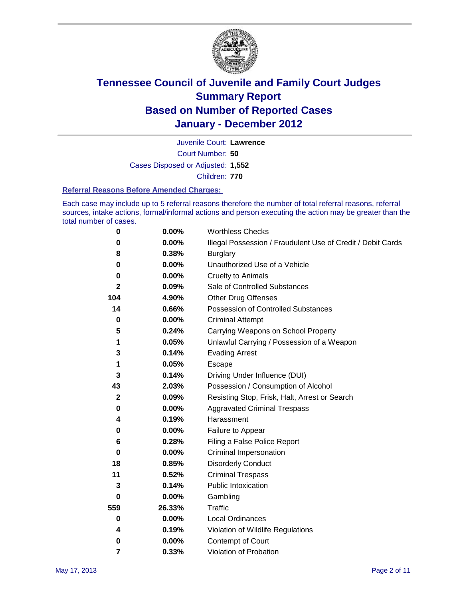

Court Number: **50** Juvenile Court: **Lawrence** Cases Disposed or Adjusted: **1,552** Children: **770**

#### **Referral Reasons Before Amended Charges:**

Each case may include up to 5 referral reasons therefore the number of total referral reasons, referral sources, intake actions, formal/informal actions and person executing the action may be greater than the total number of cases.

| $\pmb{0}$   | 0.00%    | <b>Worthless Checks</b>                                     |
|-------------|----------|-------------------------------------------------------------|
| 0           | 0.00%    | Illegal Possession / Fraudulent Use of Credit / Debit Cards |
| 8           | 0.38%    | <b>Burglary</b>                                             |
| $\bf{0}$    | $0.00\%$ | Unauthorized Use of a Vehicle                               |
| 0           | $0.00\%$ | <b>Cruelty to Animals</b>                                   |
| 2           | 0.09%    | Sale of Controlled Substances                               |
| 104         | 4.90%    | <b>Other Drug Offenses</b>                                  |
| 14          | 0.66%    | Possession of Controlled Substances                         |
| $\mathbf 0$ | $0.00\%$ | <b>Criminal Attempt</b>                                     |
| 5           | 0.24%    | Carrying Weapons on School Property                         |
| 1           | 0.05%    | Unlawful Carrying / Possession of a Weapon                  |
| 3           | 0.14%    | <b>Evading Arrest</b>                                       |
| 1           | 0.05%    | Escape                                                      |
| 3           | 0.14%    | Driving Under Influence (DUI)                               |
| 43          | 2.03%    | Possession / Consumption of Alcohol                         |
| $\mathbf 2$ | 0.09%    | Resisting Stop, Frisk, Halt, Arrest or Search               |
| 0           | $0.00\%$ | <b>Aggravated Criminal Trespass</b>                         |
| 4           | 0.19%    | Harassment                                                  |
| 0           | 0.00%    | Failure to Appear                                           |
| 6           | 0.28%    | Filing a False Police Report                                |
| $\bf{0}$    | 0.00%    | Criminal Impersonation                                      |
| 18          | 0.85%    | <b>Disorderly Conduct</b>                                   |
| 11          | 0.52%    | <b>Criminal Trespass</b>                                    |
| 3           | 0.14%    | Public Intoxication                                         |
| 0           | $0.00\%$ | Gambling                                                    |
| 559         | 26.33%   | <b>Traffic</b>                                              |
| 0           | $0.00\%$ | Local Ordinances                                            |
| 4           | 0.19%    | Violation of Wildlife Regulations                           |
| 0           | $0.00\%$ | Contempt of Court                                           |
| 7           | 0.33%    | Violation of Probation                                      |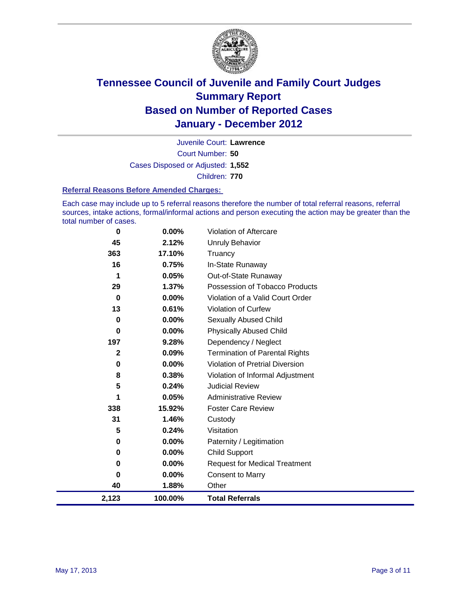

Court Number: **50** Juvenile Court: **Lawrence** Cases Disposed or Adjusted: **1,552** Children: **770**

#### **Referral Reasons Before Amended Charges:**

Each case may include up to 5 referral reasons therefore the number of total referral reasons, referral sources, intake actions, formal/informal actions and person executing the action may be greater than the total number of cases.

| 0            | 0.00%   | Violation of Aftercare                 |
|--------------|---------|----------------------------------------|
| 45           | 2.12%   | <b>Unruly Behavior</b>                 |
| 363          | 17.10%  | Truancy                                |
| 16           | 0.75%   | In-State Runaway                       |
| 1            | 0.05%   | Out-of-State Runaway                   |
| 29           | 1.37%   | Possession of Tobacco Products         |
| 0            | 0.00%   | Violation of a Valid Court Order       |
| 13           | 0.61%   | Violation of Curfew                    |
| 0            | 0.00%   | Sexually Abused Child                  |
| $\bf{0}$     | 0.00%   | <b>Physically Abused Child</b>         |
| 197          | 9.28%   | Dependency / Neglect                   |
| $\mathbf{2}$ | 0.09%   | <b>Termination of Parental Rights</b>  |
| 0            | 0.00%   | <b>Violation of Pretrial Diversion</b> |
| 8            | 0.38%   | Violation of Informal Adjustment       |
| 5            | 0.24%   | <b>Judicial Review</b>                 |
| 1            | 0.05%   | <b>Administrative Review</b>           |
| 338          | 15.92%  | <b>Foster Care Review</b>              |
| 31           | 1.46%   | Custody                                |
| 5            | 0.24%   | Visitation                             |
| 0            | 0.00%   | Paternity / Legitimation               |
| $\bf{0}$     | 0.00%   | <b>Child Support</b>                   |
| $\bf{0}$     | 0.00%   | <b>Request for Medical Treatment</b>   |
| 0            | 0.00%   | <b>Consent to Marry</b>                |
| 40           | 1.88%   | Other                                  |
| 2,123        | 100.00% | <b>Total Referrals</b>                 |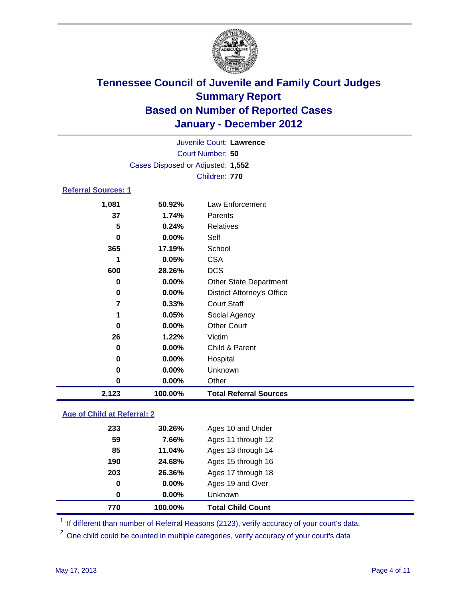

| 2,123                      | 100.00%                           | <b>Total Referral Sources</b>     |  |
|----------------------------|-----------------------------------|-----------------------------------|--|
| 0                          | 0.00%                             | Other                             |  |
| 0                          | $0.00\%$                          | Unknown                           |  |
| 0                          | $0.00\%$                          | Hospital                          |  |
| 0                          | $0.00\%$                          | Child & Parent                    |  |
| 26                         | 1.22%                             | Victim                            |  |
| 0                          | $0.00\%$                          | <b>Other Court</b>                |  |
| 1                          | 0.05%                             | Social Agency                     |  |
| $\overline{7}$             | 0.33%                             | <b>Court Staff</b>                |  |
| 0                          | $0.00\%$                          | <b>District Attorney's Office</b> |  |
| 0                          | $0.00\%$                          | <b>Other State Department</b>     |  |
| 600                        | 28.26%                            | <b>DCS</b>                        |  |
| 1                          | 0.05%                             | <b>CSA</b>                        |  |
| 365                        | 17.19%                            | School                            |  |
| 0                          | $0.00\%$                          | Self                              |  |
| 5                          | 0.24%                             | <b>Relatives</b>                  |  |
| 37                         | 1.74%                             | Parents                           |  |
| 1,081                      | 50.92%                            | Law Enforcement                   |  |
| <b>Referral Sources: 1</b> |                                   |                                   |  |
|                            |                                   | Children: 770                     |  |
|                            | Cases Disposed or Adjusted: 1,552 |                                   |  |
|                            |                                   | Court Number: 50                  |  |
|                            |                                   | Juvenile Court: Lawrence          |  |
|                            |                                   |                                   |  |

### **Age of Child at Referral: 2**

| 0   | 0.00%  | <b>Unknown</b>     |
|-----|--------|--------------------|
| 0   | 0.00%  | Ages 19 and Over   |
| 203 | 26.36% | Ages 17 through 18 |
| 190 | 24.68% | Ages 15 through 16 |
| 85  | 11.04% | Ages 13 through 14 |
| 59  | 7.66%  | Ages 11 through 12 |
| 233 | 30.26% | Ages 10 and Under  |
|     |        |                    |

<sup>1</sup> If different than number of Referral Reasons (2123), verify accuracy of your court's data.

<sup>2</sup> One child could be counted in multiple categories, verify accuracy of your court's data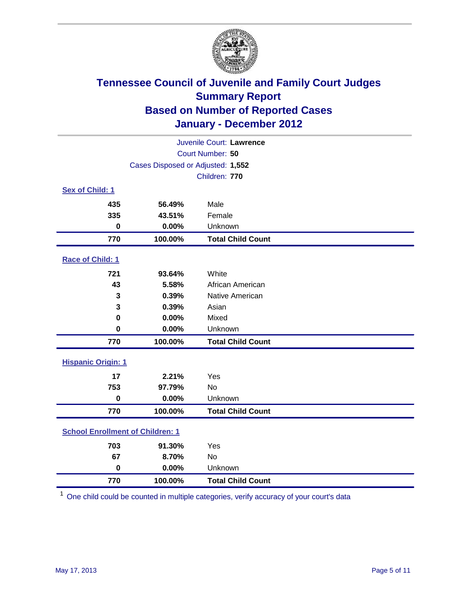

|                                         |                                   | Juvenile Court: Lawrence |  |  |  |
|-----------------------------------------|-----------------------------------|--------------------------|--|--|--|
| Court Number: 50                        |                                   |                          |  |  |  |
|                                         | Cases Disposed or Adjusted: 1,552 |                          |  |  |  |
|                                         | Children: 770                     |                          |  |  |  |
| Sex of Child: 1                         |                                   |                          |  |  |  |
| 435                                     | 56.49%                            | Male                     |  |  |  |
| 335                                     | 43.51%                            | Female                   |  |  |  |
| $\bf{0}$                                | 0.00%                             | Unknown                  |  |  |  |
| 770                                     | 100.00%                           | <b>Total Child Count</b> |  |  |  |
| Race of Child: 1                        |                                   |                          |  |  |  |
| 721                                     | 93.64%                            | White                    |  |  |  |
| 43                                      | 5.58%                             | African American         |  |  |  |
| 3                                       | 0.39%                             | Native American          |  |  |  |
| 3                                       | 0.39%                             | Asian                    |  |  |  |
| $\mathbf 0$                             | 0.00%                             | Mixed                    |  |  |  |
| 0                                       | 0.00%                             | Unknown                  |  |  |  |
| 770                                     | 100.00%                           | <b>Total Child Count</b> |  |  |  |
| <b>Hispanic Origin: 1</b>               |                                   |                          |  |  |  |
| 17                                      | 2.21%                             | Yes                      |  |  |  |
| 753                                     | 97.79%                            | <b>No</b>                |  |  |  |
| $\mathbf 0$                             | 0.00%                             | Unknown                  |  |  |  |
| 770                                     | 100.00%                           | <b>Total Child Count</b> |  |  |  |
| <b>School Enrollment of Children: 1</b> |                                   |                          |  |  |  |
| 703                                     | 91.30%                            | Yes                      |  |  |  |
| 67                                      | 8.70%                             | <b>No</b>                |  |  |  |
| $\mathbf 0$                             | 0.00%                             | Unknown                  |  |  |  |
| 770                                     | 100.00%                           | <b>Total Child Count</b> |  |  |  |

One child could be counted in multiple categories, verify accuracy of your court's data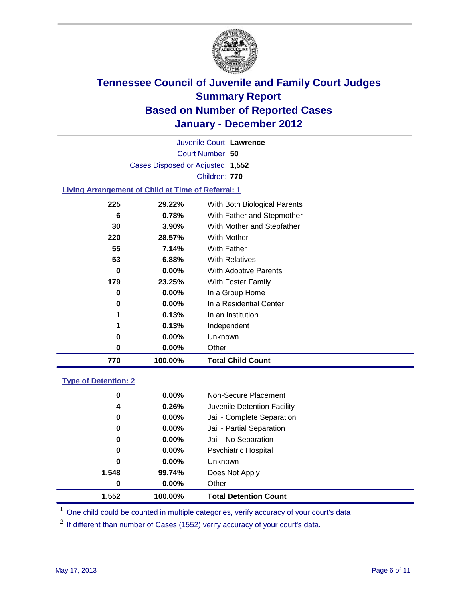

Court Number: **50** Juvenile Court: **Lawrence** Cases Disposed or Adjusted: **1,552** Children: **770**

### **Living Arrangement of Child at Time of Referral: 1**

| 770 | 100.00%  | <b>Total Child Count</b>     |
|-----|----------|------------------------------|
| 0   | $0.00\%$ | Other                        |
| 0   | $0.00\%$ | Unknown                      |
| 1   | 0.13%    | Independent                  |
| 1   | 0.13%    | In an Institution            |
| 0   | $0.00\%$ | In a Residential Center      |
| 0   | $0.00\%$ | In a Group Home              |
| 179 | 23.25%   | With Foster Family           |
| 0   | $0.00\%$ | With Adoptive Parents        |
| 53  | 6.88%    | <b>With Relatives</b>        |
| 55  | 7.14%    | <b>With Father</b>           |
| 220 | 28.57%   | <b>With Mother</b>           |
| 30  | $3.90\%$ | With Mother and Stepfather   |
| 6   | 0.78%    | With Father and Stepmother   |
| 225 | 29.22%   | With Both Biological Parents |
|     |          |                              |

#### **Type of Detention: 2**

| 1,552 | 100.00%           | <b>Total Detention Count</b> |
|-------|-------------------|------------------------------|
|       | $0.00\%$<br>0     | Other                        |
| 1,548 | 99.74%            | Does Not Apply               |
|       | 0<br>$0.00\%$     | <b>Unknown</b>               |
|       | 0.00%<br>0        | <b>Psychiatric Hospital</b>  |
|       | $\bf{0}$<br>0.00% | Jail - No Separation         |
|       | 0<br>$0.00\%$     | Jail - Partial Separation    |
|       | 0<br>$0.00\%$     | Jail - Complete Separation   |
|       | 0.26%<br>4        | Juvenile Detention Facility  |
|       | 0<br>$0.00\%$     | Non-Secure Placement         |
|       |                   |                              |

<sup>1</sup> One child could be counted in multiple categories, verify accuracy of your court's data

<sup>2</sup> If different than number of Cases (1552) verify accuracy of your court's data.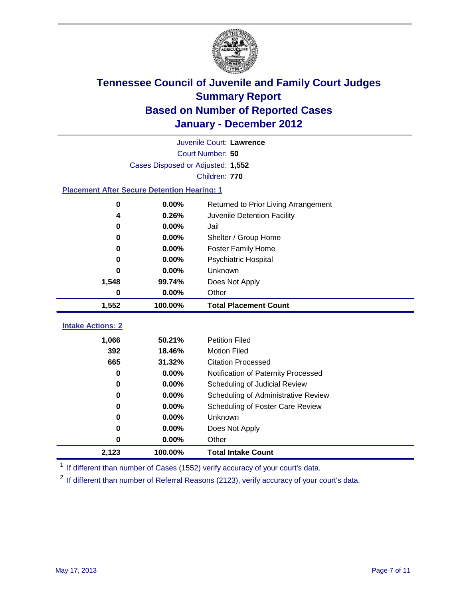

| 0                                                  | 0.00%                             | Other                                |
|----------------------------------------------------|-----------------------------------|--------------------------------------|
| 0                                                  | 0.00%                             | Does Not Apply                       |
| 0                                                  | 0.00%                             | Unknown                              |
| 0                                                  | $0.00\%$                          | Scheduling of Foster Care Review     |
| 0                                                  | 0.00%                             | Scheduling of Administrative Review  |
| 0                                                  | 0.00%                             | Scheduling of Judicial Review        |
| 0                                                  | 0.00%                             | Notification of Paternity Processed  |
| 665                                                | 31.32%                            | <b>Citation Processed</b>            |
| 392                                                | 18.46%                            | <b>Motion Filed</b>                  |
| 1,066                                              | 50.21%                            | <b>Petition Filed</b>                |
| <b>Intake Actions: 2</b>                           |                                   |                                      |
| 1,552                                              | 100.00%                           | <b>Total Placement Count</b>         |
| 0                                                  | 0.00%                             | Other                                |
| 1,548                                              | 99.74%                            | Does Not Apply                       |
| 0                                                  | 0.00%                             | Unknown                              |
| 0                                                  | $0.00\%$                          | Psychiatric Hospital                 |
| 0                                                  | 0.00%                             | <b>Foster Family Home</b>            |
| 0                                                  | 0.00%                             | Shelter / Group Home                 |
| 0                                                  | 0.00%                             | Jail                                 |
| 4                                                  | 0.26%                             | Juvenile Detention Facility          |
| 0                                                  | 0.00%                             | Returned to Prior Living Arrangement |
| <b>Placement After Secure Detention Hearing: 1</b> |                                   |                                      |
|                                                    |                                   | Children: 770                        |
|                                                    | Cases Disposed or Adjusted: 1,552 |                                      |
|                                                    |                                   | Court Number: 50                     |
|                                                    |                                   | Juvenile Court: Lawrence             |

<sup>1</sup> If different than number of Cases (1552) verify accuracy of your court's data.

<sup>2</sup> If different than number of Referral Reasons (2123), verify accuracy of your court's data.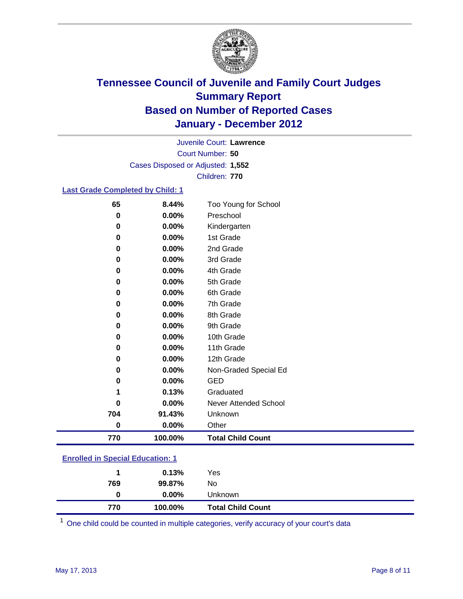

Court Number: **50** Juvenile Court: **Lawrence** Cases Disposed or Adjusted: **1,552** Children: **770**

### **Last Grade Completed by Child: 1**

| 65                                      | 8.44%   | Too Young for School         |  |
|-----------------------------------------|---------|------------------------------|--|
| 0                                       | 0.00%   | Preschool                    |  |
| 0                                       | 0.00%   | Kindergarten                 |  |
| 0                                       | 0.00%   | 1st Grade                    |  |
| 0                                       | 0.00%   | 2nd Grade                    |  |
| 0                                       | 0.00%   | 3rd Grade                    |  |
| 0                                       | 0.00%   | 4th Grade                    |  |
| 0                                       | 0.00%   | 5th Grade                    |  |
| 0                                       | 0.00%   | 6th Grade                    |  |
| 0                                       | 0.00%   | 7th Grade                    |  |
| 0                                       | 0.00%   | 8th Grade                    |  |
| 0                                       | 0.00%   | 9th Grade                    |  |
| 0                                       | 0.00%   | 10th Grade                   |  |
| 0                                       | 0.00%   | 11th Grade                   |  |
| 0                                       | 0.00%   | 12th Grade                   |  |
| 0                                       | 0.00%   | Non-Graded Special Ed        |  |
| 0                                       | 0.00%   | <b>GED</b>                   |  |
| 1                                       | 0.13%   | Graduated                    |  |
| 0                                       | 0.00%   | <b>Never Attended School</b> |  |
| 704                                     | 91.43%  | Unknown                      |  |
| 0                                       | 0.00%   | Other                        |  |
| 770                                     | 100.00% | <b>Total Child Count</b>     |  |
| <b>Enrolled in Special Education: 1</b> |         |                              |  |

| 770                                       | 100.00%  | <b>Total Child Count</b> |  |  |  |
|-------------------------------------------|----------|--------------------------|--|--|--|
| 0                                         | $0.00\%$ | <b>Unknown</b>           |  |  |  |
| 769                                       | 99.87%   | No                       |  |  |  |
|                                           | 0.13%    | Yes                      |  |  |  |
| <u>Einvilled III Opeelal Education. T</u> |          |                          |  |  |  |

One child could be counted in multiple categories, verify accuracy of your court's data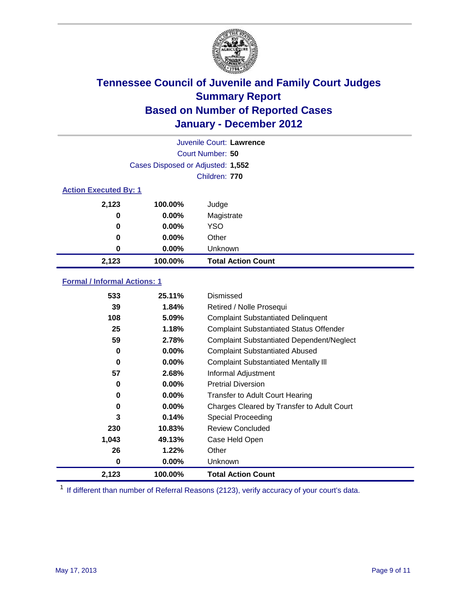

| Juvenile Court: Lawrence     |                                   |                           |  |  |  |
|------------------------------|-----------------------------------|---------------------------|--|--|--|
|                              | Court Number: 50                  |                           |  |  |  |
|                              | Cases Disposed or Adjusted: 1,552 |                           |  |  |  |
|                              | Children: 770                     |                           |  |  |  |
| <b>Action Executed By: 1</b> |                                   |                           |  |  |  |
| 2,123                        | 100.00%                           | Judge                     |  |  |  |
| 0                            | 0.00%                             | Magistrate                |  |  |  |
| $\bf{0}$                     | $0.00\%$                          | <b>YSO</b>                |  |  |  |
| 0                            | 0.00%                             | Other                     |  |  |  |
| 0                            | $0.00\%$                          | Unknown                   |  |  |  |
| 2,123                        | 100.00%                           | <b>Total Action Count</b> |  |  |  |

### **Formal / Informal Actions: 1**

| 533   | 25.11%   | Dismissed                                        |
|-------|----------|--------------------------------------------------|
| 39    | 1.84%    | Retired / Nolle Prosequi                         |
| 108   | 5.09%    | <b>Complaint Substantiated Delinquent</b>        |
| 25    | 1.18%    | <b>Complaint Substantiated Status Offender</b>   |
| 59    | 2.78%    | <b>Complaint Substantiated Dependent/Neglect</b> |
| 0     | $0.00\%$ | <b>Complaint Substantiated Abused</b>            |
| 0     | $0.00\%$ | <b>Complaint Substantiated Mentally III</b>      |
| 57    | 2.68%    | Informal Adjustment                              |
| 0     | $0.00\%$ | <b>Pretrial Diversion</b>                        |
| 0     | $0.00\%$ | <b>Transfer to Adult Court Hearing</b>           |
| 0     | $0.00\%$ | Charges Cleared by Transfer to Adult Court       |
| 3     | 0.14%    | <b>Special Proceeding</b>                        |
| 230   | 10.83%   | <b>Review Concluded</b>                          |
| 1,043 | 49.13%   | Case Held Open                                   |
| 26    | 1.22%    | Other                                            |
| 0     | $0.00\%$ | <b>Unknown</b>                                   |
| 2,123 | 100.00%  | <b>Total Action Count</b>                        |

<sup>1</sup> If different than number of Referral Reasons (2123), verify accuracy of your court's data.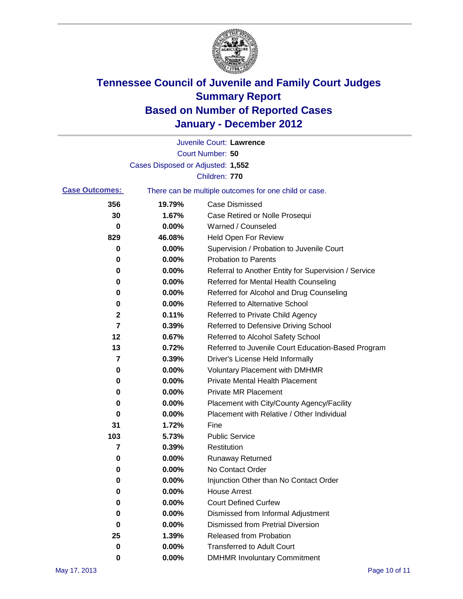

|                       |                                   | Juvenile Court: Lawrence                              |
|-----------------------|-----------------------------------|-------------------------------------------------------|
|                       |                                   | Court Number: 50                                      |
|                       | Cases Disposed or Adjusted: 1,552 |                                                       |
|                       |                                   | Children: 770                                         |
| <b>Case Outcomes:</b> |                                   | There can be multiple outcomes for one child or case. |
| 356                   | 19.79%                            | <b>Case Dismissed</b>                                 |
| 30                    | 1.67%                             | Case Retired or Nolle Prosequi                        |
| 0                     | 0.00%                             | Warned / Counseled                                    |
| 829                   | 46.08%                            | Held Open For Review                                  |
| 0                     | 0.00%                             | Supervision / Probation to Juvenile Court             |
| 0                     | 0.00%                             | <b>Probation to Parents</b>                           |
| 0                     | 0.00%                             | Referral to Another Entity for Supervision / Service  |
| 0                     | 0.00%                             | Referred for Mental Health Counseling                 |
| 0                     | 0.00%                             | Referred for Alcohol and Drug Counseling              |
| 0                     | 0.00%                             | <b>Referred to Alternative School</b>                 |
| 2                     | 0.11%                             | Referred to Private Child Agency                      |
| 7                     | 0.39%                             | Referred to Defensive Driving School                  |
| 12                    | 0.67%                             | Referred to Alcohol Safety School                     |
| 13                    | 0.72%                             | Referred to Juvenile Court Education-Based Program    |
| 7                     | 0.39%                             | Driver's License Held Informally                      |
| 0                     | 0.00%                             | <b>Voluntary Placement with DMHMR</b>                 |
| 0                     | 0.00%                             | <b>Private Mental Health Placement</b>                |
| 0                     | 0.00%                             | <b>Private MR Placement</b>                           |
| 0                     | 0.00%                             | Placement with City/County Agency/Facility            |
| 0                     | 0.00%                             | Placement with Relative / Other Individual            |
| 31                    | 1.72%                             | Fine                                                  |
| 103                   | 5.73%                             | <b>Public Service</b>                                 |
| 7                     | 0.39%                             | Restitution                                           |
| 0                     | 0.00%                             | <b>Runaway Returned</b>                               |
| 0                     | 0.00%                             | No Contact Order                                      |
| 0                     | 0.00%                             | Injunction Other than No Contact Order                |
| 0                     | 0.00%                             | <b>House Arrest</b>                                   |
| 0                     | 0.00%                             | <b>Court Defined Curfew</b>                           |
| 0                     | 0.00%                             | Dismissed from Informal Adjustment                    |
| 0                     | 0.00%                             | <b>Dismissed from Pretrial Diversion</b>              |
| 25                    | 1.39%                             | Released from Probation                               |
| 0                     | 0.00%                             | <b>Transferred to Adult Court</b>                     |
| 0                     | $0.00\%$                          | <b>DMHMR Involuntary Commitment</b>                   |